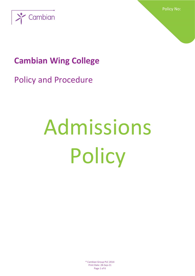

Policy No:

## **Cambian Wing College**

Policy and Procedure

# Admissions **Policy**

® Cambian Group PLC 2014 Print Date: 28-Sep-21 Page 1 of 6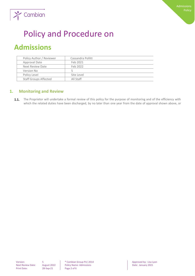

## Policy and Procedure on

### **Admissions**

| Policy Author / Reviewer     | Cassandra Pollitt |
|------------------------------|-------------------|
| Approval Date                | Feb 2021          |
| Next Review Date             | Feb 2022          |
| Version No                   |                   |
| Policy Level                 | Site Level        |
| <b>Staff Groups Affected</b> | All Staff         |

#### **1. Monitoring and Review**

 $1.1.$ The Proprietor will undertake a formal review of this policy for the purpose of monitoring and of the efficiency with which the related duties have been discharged, by no later than one year from the date of approval shown above, or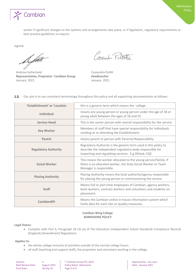

earlier if significant changes to the systems and arrangements take place, or if legislation, regulatory requirements or best practice guidelines so require.

Signed:

August 1

Andrew Sutherland **Cassandra Pollitt Representative, Proprietor- Cambian Group Headteacher** January 2021 **January 2021** 

Cassardi Feltett

|  |  | <b>1.2.</b> Our aim is to use consistent terminology throughout this policy and all supporting documentation as follows: |  |  |  |  |
|--|--|--------------------------------------------------------------------------------------------------------------------------|--|--|--|--|
|--|--|--------------------------------------------------------------------------------------------------------------------------|--|--|--|--|

| 'Establishment' or 'Location | this is a generic term which means the college.                                                                                                                                    |
|------------------------------|------------------------------------------------------------------------------------------------------------------------------------------------------------------------------------|
| <b>Individual</b>            | means any young person or young person under the age of 18 or<br>young adult between the ages of 18 and 25.                                                                        |
| <b>Service Head</b>          | This is the senior person with overall responsibility for the service                                                                                                              |
| <b>Key Worker</b>            | Members of staff that have special responsibility for Individuals<br>residing at or attending the Establishment.                                                                   |
| Parent                       | means parent or person with Parental Responsibility                                                                                                                                |
| <b>Regulatory Authority</b>  | Regulatory Authority is the generic term used in this policy to<br>describe the independent regulatory body responsible for<br>inspecting and regulating services. E.g Ofsted, CQC |
| <b>Social Worker</b>         | This means the worker allocated to the young person/family. If<br>there is no allocated worker, the Duty Social Worker or Team<br>Manager is responsible.                          |
| <b>Placing Authority</b>     | Placing Authority means the local authority/agency responsible<br>for placing the young person or commissioning the service                                                        |
| <b>Staff</b>                 | Means full or part-time employees of Cambian, agency workers,<br>bank workers, contract workers and volunteers and students on<br>placement.                                       |
| CambianKPI                   | Means the Cambian online in-house information system which<br>holds data for each site on quality measures.                                                                        |

#### **Cambian Wing College ADMISSIONS POLICY**

**Legal Status:**

• Complies with Part 6, Paragraph 24 (3) (a) of The Education (Independent School Standards Compliance Record) (England) (Amendment) Regulations

#### **Applies to:**

- the whole college inclusive of activities outside of the normal college hours;
- all staff (teaching and support staff), the proprietor and volunteers working in the college.

| Version:                |
|-------------------------|
| <b>Next Review Date</b> |
| <b>Print Date:</b>      |

 $28-Sep-21$  Page 3 of 6

S  $\begin{array}{c|c|c|c} \text{S} & \text{P} & \text{Cambian Group PLC 2014} & \text{Simproc} \\ \hline \text{August 2022} & \text{Policy Name: Admissions} & \text{Date: January 2021} \end{array}$  $\text{P}_2$ : August 2022 **Policy Name: Admissions**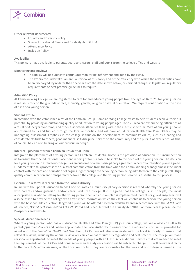

#### **Other relevant documents:**

- Equality and Diversity Policy
- Special Educational Needs and Disability Act (SENDA)
- Attendance Policy
- Inclusion Policy

#### **Availability:**

This policy is made available to parents, guardians, carers, staff and pupils from the college office and website

#### **Monitoring and Review:**

- This policy will be subject to continuous monitoring, refinement and audit by the Head.
- The Proprietor undertakes an annual review of this policy and of the efficiency with which the related duties have been discharged, by no later than one year from the date shown below, or earlier if changes in legislation, regulatory requirements or best practice guidelines so require.

#### **Admission Policy**

At Cambian Wing College we are registered to care for and educate young people from the age of 16 to 25. No young person is refused entry on the grounds of race, ethnicity, gender, religion or sexual orientation. We require confirmation of the date of birth of a young person.

#### **Student Profile**

In common with the established aims of the Cambian Group, Cambian Wing College exists to help students achieve their full potential by providing an outstanding quality of education to young people aged 16 to 25 who are experiencing difficulties as a result of Asperger Syndrome, and other associated difficulties falling within the autistic spectrum. Most of our young people are referred to us and funded through the local authorities, and will have an Education Health Care Plan. Others may be undergoing assessment. Emphasis in the college is thus on the development of community values, such as a caring and considerate attitude to others, good manners, self-discipline, service to the community and the pursuit of excellence. All this, of course, has a direct bearing on our curriculum design.

#### **Internal – placement from a Cambian Residential Home**

Integral to the placement of a young person in a Cambian Residential home is the provision of education. It is incumbent on us to ensure that the educational placement in being fit for purpose is bespoke to the needs of the young person. The decision for a young person to attend our college is as an outcome of a multi-disciplinary agreement whereby a transition plan is agreed. Fundamental to this process is the quality of communication from the time when the Commissioning Manager makes the initial contact with the care and education colleagues' right through to the young person being admitted on to the college roll. High quality communication and transparency between the college and the young person's home is essential to this process.

#### **External – a referral is received from the Local Authority**

In line with the Special Education Needs Code of Practice a multi-disciplinary decision is reached whereby the young person with parents and/or guardians and/or carers visits the college. If is it agreed that the college is, in principle, the most appropriate educational setting for the young person then a transition plan is implemented. Parents or guardians/carers will also be asked to provide the college with any further information which they feel will enable us to provide the young person with the best possible education. If agreed a place will be offered based on availability and in accordance with the *SEND Code of Practice, Disability Discrimination Act 1995 Part 4* and Schedule 10 of the Equality Act 2010. For more details please see the Prospectus and website.

#### **Special Educational Needs**

Where a young person who has an Education, Health and Care Plan (EHCP) joins our college, we will always consult with parents/guardians/carers and, where appropriate, the Local Authority to ensure that the required curriculum is provided for as set out in the *Education, Health and Care Plan* (EHCP). We will also co-operate with the Local Authority to ensure that relevant reviews, including the annual review, are carried out as required by regulation and best practice. The college will make reasonable adjustments to meet the needs of young people with an EHCP. Any additional services that are needed to meet the requirements of the EHCP or additional services such as dyslexic tuition will be subject to charge. This will be either directly to the parents/guardians/carers, or the Local Authority if they are responsible for the fees and our college is named in the

Print Date: 28-Sep-21 Page 4 of 6

Version: 5 **5 8 Cambian Group PLC 2014 Approved by: Lisa Lyon Approved by: Lisa Lyon** Next Review Date: August 2022 | Policy Name: Admissions | Date: January 2021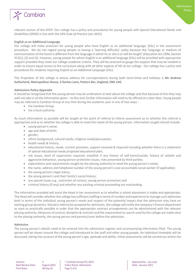

#### **English as an Additional Language**

Our college will make provision for young people who have English as an additional language, (EAL) in the assessment procedure. We do not regard young people as having a 'learning difficulty' solely because the 'language or medium of communication of the home is different from the language in which he or she is or will be taught' (Education Act 1996, Section 312(1), (2) and (3). However, young people for whom English is an additional language (EAL) will be provided with appropriate support provided they meet our college academic criteria. They will be assessed to gauge the support that may be needed in order to ensure equal access to the curriculum along with all other aspects of life at our college. Our college has a policy and procedures for students requiring *English as an Additional Language* (EAL).

The Proprietor of the college is whose address for correspondence during both term-times and holidays is **Mr Andrew Sutherland, Metropolitan House, 3 Darkes Lane, Potters Bar, England, EN6 1AG**

#### **Admissions Policy Appendix**

It should be recognised that the young person may be ambivalent at best about the college and that because of this they may well not take in all the information given – to this end, further information will need to be offered at a later date. Young people may be referred to Cambian Group at any time during the academic year in one of two ways:-

- Via Cambian Group
- Via a local authority

As much information as possible will be sought at the point of referral to inform assessment as to whether the referral is appropriate and as to whether the college is able to meet the needs of the young person. Information sought should include:

- young person's name;
- age and date of birth:
- gender;
- ethnic background, cultural needs, religious needs/persuasion;
- health needs & history;
- educational history, needs, current provision, support received & required including whether there is a statement of special educational needs proposed educational plan;
- risk issues, level of supervision required, establish if any history of self-harm/suicide, history of volatile and aggressive behaviour, young person protection issues, risks presented by third parties;
- expectations and requirements sought by the placing authority to need the young person's needs;
- the name, address and telephone number of the young person's case accountable social worker (if applicable);
- the young person's legal status;
- the young person's and their family's social history;
- any special issues e.g., restriction of contact, young person protection and
- criminal history (if any) and whether any existing criminal proceeding are outstanding.

The information provided will assist the Head in her assessment as to whether a school placement is viable and appropriate. The Head will consider whether the college has sufficient staffing in terms of number and experience to manage such admission both in terms of the individual young person's needs and respect of the potential impact that the admission may have on existing group dynamics. Should a referral be accepted for admission, the college will notify the company's finance department as soon as practically possible in order that the appropriate contract arrangements can be administered with the relevant placing authority. Measures of control, discipline & restraint and the requirement to search used by the college are made clear to the placing authority, the young person and parents/carer before the admission.

#### **Admission**

The young person's details need to be entered into the admissions register and accompanying information filed. The young person will be shown around the college and introduced to the staff and other young people. An individual timetable will be discussed, taking into account of the young person's age, aptitude and ability. Initial assessments will be carried out within the

Print Date: 28-Sep-21 Page 5 of 6

Version: 5 **5 8** Cambian Group PLC 2014 **Approved by: Lisa Lyon** Approved by: Lisa Lyon Next Review Date: August 2022 | Policy Name: Admissions | Date: January 2021